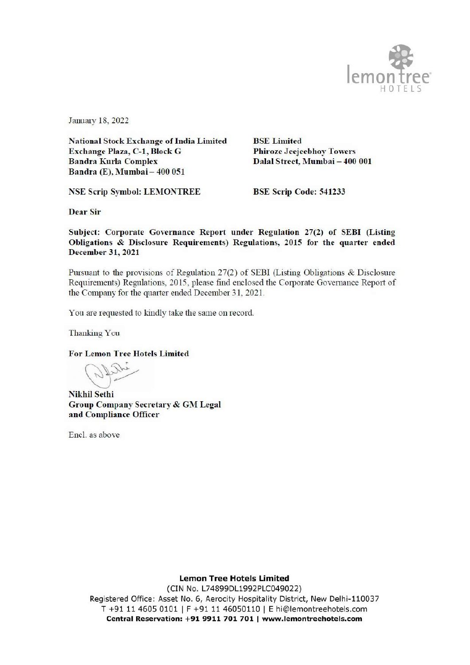

January 18, 2022

**National Stock Exchange of India Limited** Exchange Plaza, C-1, Block G **Bandra Kurla Complex** Bandra (E), Mumbai - 400 051

**BSE** Limited **Phiroze Jeejeebhoy Towers** Dalal Street, Mumbai - 400 001

**NSE Scrip Symbol: LEMONTREE** 

BSE Scrip Code: 541233

**Dear Sir** 

Subject: Corporate Governance Report under Regulation 27(2) of SEBI (Listing Obligations & Disclosure Requirements) Regulations, 2015 for the quarter ended December 31, 2021

Pursuant to the provisions of Regulation 27(2) of SEBI (Listing Obligations & Disclosure Requirements) Regulations, 2015, please find enclosed the Corporate Governance Report of the Company for the quarter ended December 31, 2021.

You are requested to kindly take the same on record.

Thanking You

**For Lemon Tree Hotels Limited** 

**Nikhil Sethi** Group Company Secretary & GM Legal and Compliance Officer

Encl. as above

**Lemon Tree Hotels Limited** 

(CIN No. L74899DL1992PLC049022) Registered Office: Asset No. 6, Aerocity Hospitality District, New Delhi-110037 T +91 11 4605 0101 | F +91 11 46050110 | E hi@lemontreehotels.com Central Reservation: +91 9911 701 701 | www.lemontreehotels.com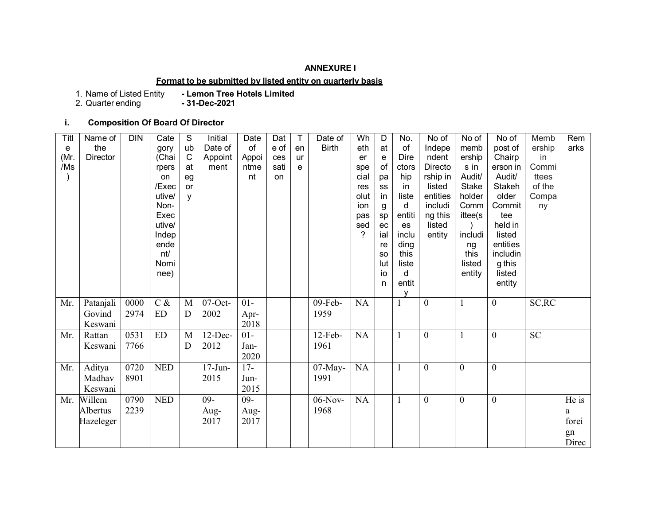## **ANNEXURE I**

## **Format to be submitted by listed entity on quarterly basis**

1. Name of Listed Entity<br>2. Quarter ending

- Lemon Tree Hotels Limited<br>- **31-Dec-2021** 

# **i. Composition Of Board Of Director**

| Titl | Name of         | <b>DIN</b> | Cate       | S            | Initial    | Date   | Dat  | T  | Date of      | Wh   | D         | No.          | No of            | No of            | No of            | Memb            | Rem   |
|------|-----------------|------------|------------|--------------|------------|--------|------|----|--------------|------|-----------|--------------|------------------|------------------|------------------|-----------------|-------|
| е    | the             |            | gory       | ub           | Date of    | of     | e of | en | <b>Birth</b> | eth  | at        | of           | Indepe           | memb             | post of          | ership          | arks  |
| (Mr. | <b>Director</b> |            | (Chai      | $\mathsf{C}$ | Appoint    | Appoi  | ces  | ur |              | er   | e         | Dire         | ndent            | ership           | Chairp           | in              |       |
| /Ms  |                 |            | rpers      | at           | ment       | ntme   | sati | e  |              | spe  | of        | ctors        | Directo          | s in             | erson in         | Commi           |       |
|      |                 |            | on         | eg           |            | nt     | on   |    |              | cial | pa        | hip          | rship in         | Audit/           | Audit/           | ttees           |       |
|      |                 |            | /Exec      | or           |            |        |      |    |              | res  | SS        | in           | listed           | <b>Stake</b>     | Stakeh           | of the          |       |
|      |                 |            | utive/     | v            |            |        |      |    |              | olut | in        | liste        | entities         | holder           | older            | Compa           |       |
|      |                 |            | Non-       |              |            |        |      |    |              | ion  | g         | d            | includi          | Comm             | Commit           | ny              |       |
|      |                 |            | Exec       |              |            |        |      |    |              | pas  | sp        | entiti       | ng this          | ittee(s          | tee              |                 |       |
|      |                 |            | utive/     |              |            |        |      |    |              | sed  | ec        | es           | listed           |                  | held in          |                 |       |
|      |                 |            | Indep      |              |            |        |      |    |              | ?    | ial       | inclu        | entity           | includi          | listed           |                 |       |
|      |                 |            | ende       |              |            |        |      |    |              |      | re        | ding         |                  | ng               | entities         |                 |       |
|      |                 |            | nt/        |              |            |        |      |    |              |      | <b>SO</b> | this         |                  | this             | includin         |                 |       |
|      |                 |            | Nomi       |              |            |        |      |    |              |      | lut<br>io | liste<br>d   |                  | listed<br>entity | g this<br>listed |                 |       |
|      |                 |            | nee)       |              |            |        |      |    |              |      | n         | entit        |                  |                  | entity           |                 |       |
|      |                 |            |            |              |            |        |      |    |              |      |           |              |                  |                  |                  |                 |       |
| Mr.  | Patanjali       | 0000       | $C \&$     | M            | $07$ -Oct- | $01-$  |      |    | 09-Feb-      | NA   |           |              | $\boldsymbol{0}$ |                  | $\overline{0}$   | SC, RC          |       |
|      | Govind          | 2974       | ${\rm ED}$ | D            | 2002       | Apr-   |      |    | 1959         |      |           |              |                  |                  |                  |                 |       |
|      | Keswani         |            |            |              |            | 2018   |      |    |              |      |           |              |                  |                  |                  |                 |       |
| Mr.  | Rattan          | 0531       | ED         | $\mathbf{M}$ | $12$ -Dec- | $01-$  |      |    | $12-Feb-$    | NA   |           | 1            | $\boldsymbol{0}$ | $\mathbf{1}$     | $\overline{0}$   | $\overline{SC}$ |       |
|      | Keswani         | 7766       |            | D            | 2012       | Jan-   |      |    | 1961         |      |           |              |                  |                  |                  |                 |       |
|      |                 |            |            |              |            | 2020   |      |    |              |      |           |              |                  |                  |                  |                 |       |
| Mr.  | Aditya          | 0720       | <b>NED</b> |              | $17$ -Jun- | $17 -$ |      |    | $07$ -May-   | NA   |           | 1            | $\boldsymbol{0}$ | $\boldsymbol{0}$ | $\boldsymbol{0}$ |                 |       |
|      | Madhav          | 8901       |            |              | 2015       | Jun-   |      |    | 1991         |      |           |              |                  |                  |                  |                 |       |
|      | Keswani         |            |            |              |            | 2015   |      |    |              |      |           |              |                  |                  |                  |                 |       |
| Mr.  | Willem          | 0790       | <b>NED</b> |              | $09 -$     | $09 -$ |      |    | $06-Nov-$    | NA   |           | $\mathbf{1}$ | $\boldsymbol{0}$ | $\boldsymbol{0}$ | $\overline{0}$   |                 | He is |
|      | Albertus        | 2239       |            |              | Aug-       | Aug-   |      |    | 1968         |      |           |              |                  |                  |                  |                 | a     |
|      | Hazeleger       |            |            |              | 2017       | 2017   |      |    |              |      |           |              |                  |                  |                  |                 | forei |
|      |                 |            |            |              |            |        |      |    |              |      |           |              |                  |                  |                  |                 | gn    |
|      |                 |            |            |              |            |        |      |    |              |      |           |              |                  |                  |                  |                 | Direc |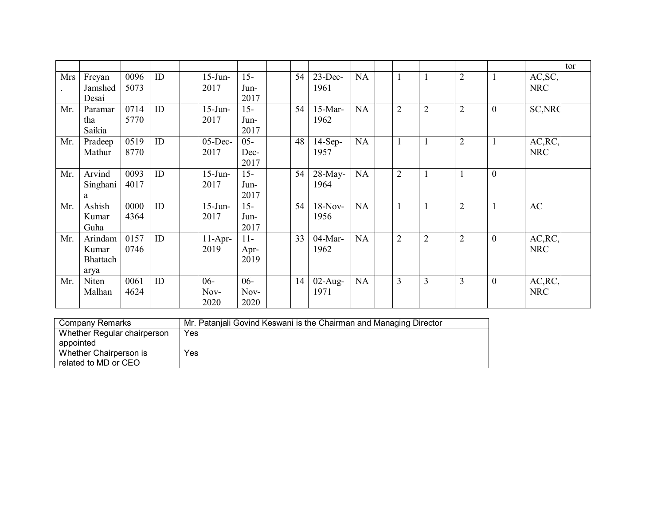|     |          |      |    |            |        |    |            |           |                |                |                |                  |                | tor |
|-----|----------|------|----|------------|--------|----|------------|-----------|----------------|----------------|----------------|------------------|----------------|-----|
| Mrs | Freyan   | 0096 | ID | $15$ -Jun- | $15 -$ | 54 | $23$ -Dec- | <b>NA</b> |                | $\mathbf{1}$   | $\overline{2}$ | $\mathbf{1}$     | AC, SC,        |     |
|     | Jamshed  | 5073 |    | 2017       | Jun-   |    | 1961       |           |                |                |                |                  | <b>NRC</b>     |     |
|     | Desai    |      |    |            | 2017   |    |            |           |                |                |                |                  |                |     |
| Mr. | Paramar  | 0714 | ID | $15$ -Jun- | $15 -$ | 54 | $15-Mar-$  | <b>NA</b> | $\overline{2}$ | $\overline{2}$ | $\overline{2}$ | $\boldsymbol{0}$ | <b>SC, NRC</b> |     |
|     | tha      | 5770 |    | 2017       | Jun-   |    | 1962       |           |                |                |                |                  |                |     |
|     | Saikia   |      |    |            | 2017   |    |            |           |                |                |                |                  |                |     |
| Mr. | Pradeep  | 0519 | ID | $05$ -Dec- | $05 -$ | 48 | $14-Sep-$  | NA        |                | $\mathbf{1}$   | $\overline{2}$ | $\mathbf{1}$     | AC, RC,        |     |
|     | Mathur   | 8770 |    | 2017       | Dec-   |    | 1957       |           |                |                |                |                  | <b>NRC</b>     |     |
|     |          |      |    |            | 2017   |    |            |           |                |                |                |                  |                |     |
| Mr. | Arvind   | 0093 | ID | $15$ -Jun- | $15 -$ | 54 | $28$ -May- | NA        | $\overline{2}$ | $\mathbf{1}$   | $\mathbf{1}$   | $\overline{0}$   |                |     |
|     | Singhani | 4017 |    | 2017       | Jun-   |    | 1964       |           |                |                |                |                  |                |     |
|     | a        |      |    |            | 2017   |    |            |           |                |                |                |                  |                |     |
| Mr. | Ashish   | 0000 | ID | $15$ -Jun- | $15 -$ | 54 | $18-Nov-$  | <b>NA</b> |                | $\mathbf{1}$   | $\overline{2}$ | $\mathbf{1}$     | AC             |     |
|     | Kumar    | 4364 |    | 2017       | Jun-   |    | 1956       |           |                |                |                |                  |                |     |
|     | Guha     |      |    |            | 2017   |    |            |           |                |                |                |                  |                |     |
| Mr. | Arindam  | 0157 | ID | $11-Apr-$  | $11-$  | 33 | 04-Mar-    | <b>NA</b> | $\overline{2}$ | $\overline{2}$ | $\overline{2}$ | $\overline{0}$   | AC, RC,        |     |
|     | Kumar    | 0746 |    | 2019       | Apr-   |    | 1962       |           |                |                |                |                  | <b>NRC</b>     |     |
|     | Bhattach |      |    |            | 2019   |    |            |           |                |                |                |                  |                |     |
|     | arya     |      |    |            |        |    |            |           |                |                |                |                  |                |     |
| Mr. | Niten    | 0061 | ID | $06 -$     | $06 -$ | 14 | $02$ -Aug- | NA        | 3              | $\overline{3}$ | $\overline{3}$ | $\overline{0}$   | AC, RC,        |     |
|     |          |      |    |            |        |    |            |           |                |                |                |                  | <b>NRC</b>     |     |
|     | Malhan   | 4624 |    | Nov-       | Nov-   |    | 1971       |           |                |                |                |                  |                |     |
|     |          |      |    | 2020       | 2020   |    |            |           |                |                |                |                  |                |     |

| Company Remarks             | Mr. Patanjali Govind Keswani is the Chairman and Managing Director |
|-----------------------------|--------------------------------------------------------------------|
| Whether Regular chairperson | Yes                                                                |
| appointed                   |                                                                    |
| Whether Chairperson is      | Yes                                                                |
| related to MD or CEO        |                                                                    |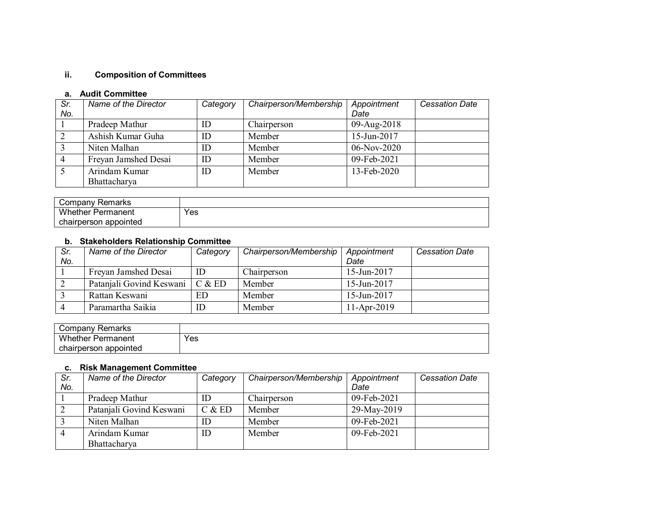# **ii. Composition of Committees**

## **a. Audit Committee**

| Sr. | Name of the Director | Category | Chairperson/Membership | Appointment | <b>Cessation Date</b> |
|-----|----------------------|----------|------------------------|-------------|-----------------------|
| No. |                      |          |                        | Date        |                       |
|     | Pradeep Mathur       | ID       | Chairperson            | 09-Aug-2018 |                       |
|     | Ashish Kumar Guha    | ID       | Member                 | 15-Jun-2017 |                       |
|     | Niten Malhan         | ID       | Member                 | 06-Nov-2020 |                       |
| 4   | Freyan Jamshed Desai | ID       | Member                 | 09-Feb-2021 |                       |
|     | Arindam Kumar        | ID       | Member                 | 13-Feb-2020 |                       |
|     | Bhattacharya         |          |                        |             |                       |

| Company Remarks          |     |
|--------------------------|-----|
| <b>Whether Permanent</b> | Yes |
| chairperson appointed    |     |

# **b. Stakeholders Relationship Committee**

| Sr. | Name of the Director     | Category | Chairperson/Membership | Appointment    | <b>Cessation Date</b> |
|-----|--------------------------|----------|------------------------|----------------|-----------------------|
| No. |                          |          |                        | Date           |                       |
|     | Freyan Jamshed Desai     | ID       | Chairperson            | $15$ -Jun-2017 |                       |
|     | Patanjali Govind Keswani | C & E D  | Member                 | $15$ -Jun-2017 |                       |
|     | Rattan Keswani           | ED       | Member                 | 15-Jun-2017    |                       |
|     | Paramartha Saikia        | ID       | Member                 | 11-Apr-2019    |                       |

| Company Remarks          |     |
|--------------------------|-----|
| <b>Whether Permanent</b> | Yes |
| chairperson appointed    |     |

## **c. Risk Management Committee**

| Sr.<br>No. | Name of the Director     | Category | Chairperson/Membership | Appointment<br>Date | <b>Cessation Date</b> |
|------------|--------------------------|----------|------------------------|---------------------|-----------------------|
|            | Pradeep Mathur           | ID       | Chairperson            | 09-Feb-2021         |                       |
|            | Patanjali Govind Keswani | C & E D  | Member                 | 29-May-2019         |                       |
|            | Niten Malhan             | ID       | Member                 | 09-Feb-2021         |                       |
|            | Arindam Kumar            | ID       | Member                 | 09-Feb-2021         |                       |
|            | Bhattacharya             |          |                        |                     |                       |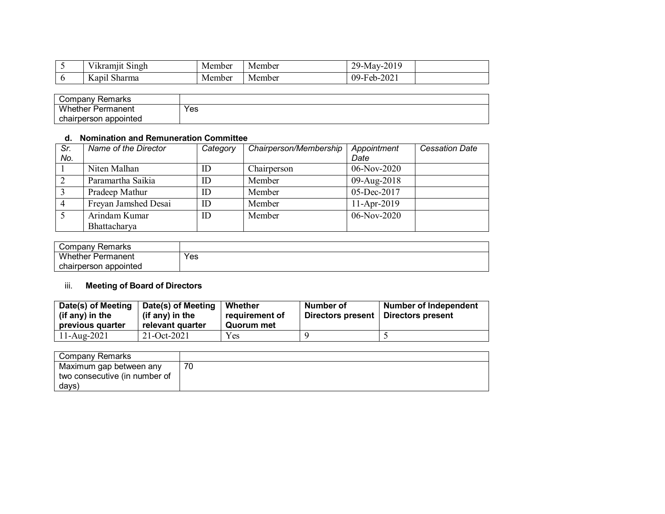| . .<br>- - - -<br>Singh<br>Vikramjit        | Member | Member | 2019<br>29.5<br>Nav-<br><u>_</u> |  |
|---------------------------------------------|--------|--------|----------------------------------|--|
| $\sim$ 1<br>$\mathbf{r}$<br>Kapil<br>Sharma | Member | Member | 2021<br>$99-Feb-z$<br>.∠U∠       |  |

| ' ompany۔<br>Remarks        |     |  |
|-----------------------------|-----|--|
| Whether I<br>-<br>Permanent | Yes |  |
| chairperson appointed       |     |  |

## **d. Nomination and Remuneration Committee**

| Sr. | Name of the Director | Category | Chairperson/Membership | Appointment   | <b>Cessation Date</b> |
|-----|----------------------|----------|------------------------|---------------|-----------------------|
| No. |                      |          |                        | Date          |                       |
|     | Niten Malhan         | ID       | Chairperson            | 06-Nov-2020   |                       |
|     | Paramartha Saikia    | ID       | Member                 | 09-Aug-2018   |                       |
|     | Pradeep Mathur       | ID       | Member                 | 05-Dec-2017   |                       |
|     | Freyan Jamshed Desai | ID       | Member                 | 11-Apr-2019   |                       |
|     | Arindam Kumar        | ID       | Member                 | $06-Nov-2020$ |                       |
|     | Bhattacharya         |          |                        |               |                       |

| Company Remarks          |     |
|--------------------------|-----|
| <b>Whether Permanent</b> | Yes |
| chairperson appointed    |     |

# iii. **Meeting of Board of Directors**

| Date(s) of Meeting<br>(if any) in the<br>previous quarter | Date(s) of Meeting<br>(if any) in the<br>relevant quarter | Whether<br>requirement of<br>Quorum met | Number of<br>Directors present   Directors present | <b>Number of Independent</b> |
|-----------------------------------------------------------|-----------------------------------------------------------|-----------------------------------------|----------------------------------------------------|------------------------------|
| 11-Aug-2021                                               | $21-Oct-2021$                                             | Yes                                     |                                                    |                              |

| Company Remarks               |    |
|-------------------------------|----|
| Maximum gap between any       | 70 |
| two consecutive (in number of |    |
| days)                         |    |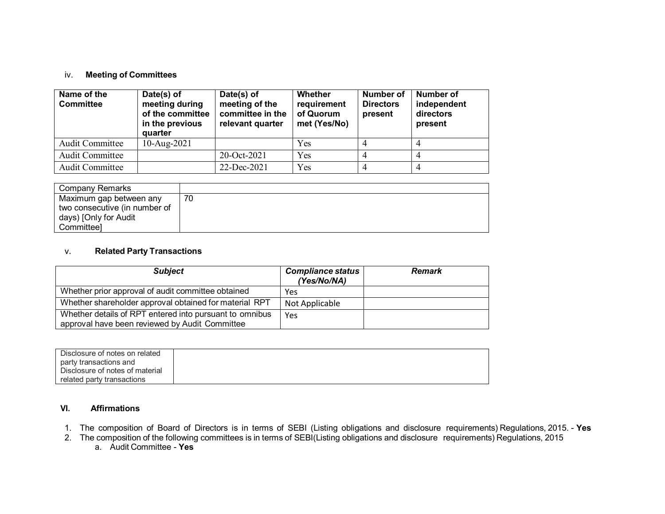#### iv. **Meeting of Committees**

| Name of the<br><b>Committee</b> | Date(s) of<br>meeting during<br>of the committee<br>in the previous<br>quarter | Date(s) of<br>meeting of the<br>committee in the<br>relevant quarter | Whether<br>requirement<br>of Quorum<br>met (Yes/No) | Number of<br><b>Directors</b><br>present | Number of<br>independent<br>directors<br>present |
|---------------------------------|--------------------------------------------------------------------------------|----------------------------------------------------------------------|-----------------------------------------------------|------------------------------------------|--------------------------------------------------|
| <b>Audit Committee</b>          | $10$ -Aug-2021                                                                 |                                                                      | Yes                                                 |                                          |                                                  |
| <b>Audit Committee</b>          |                                                                                | 20-Oct-2021                                                          | Yes                                                 |                                          |                                                  |
| <b>Audit Committee</b>          |                                                                                | 22-Dec-2021                                                          | Yes                                                 |                                          |                                                  |

| Company Remarks               |    |
|-------------------------------|----|
| Maximum gap between any       | 70 |
| two consecutive (in number of |    |
| days) [Only for Audit         |    |
| Committeel                    |    |

### v. **Related Party Transactions**

| <b>Subject</b>                                                                                            | <b>Compliance status</b><br>(Yes/No/NA) | <b>Remark</b> |
|-----------------------------------------------------------------------------------------------------------|-----------------------------------------|---------------|
| Whether prior approval of audit committee obtained                                                        | Yes                                     |               |
| Whether shareholder approval obtained for material RPT                                                    | Not Applicable                          |               |
| Whether details of RPT entered into pursuant to omnibus<br>approval have been reviewed by Audit Committee | Yes                                     |               |

| Disclosure of notes on related  |  |
|---------------------------------|--|
| party transactions and          |  |
| Disclosure of notes of material |  |
| related party transactions      |  |

## **VI. Affirmations**

- 1. The composition of Board of Directors is in terms of SEBI (Listing obligations and disclosure requirements) Regulations, 2015. **Yes**
- 2. The composition of the following committees is in terms of SEBI(Listing obligations and disclosure requirements) Regulations, 2015
	- a. Audit Committee **Yes**